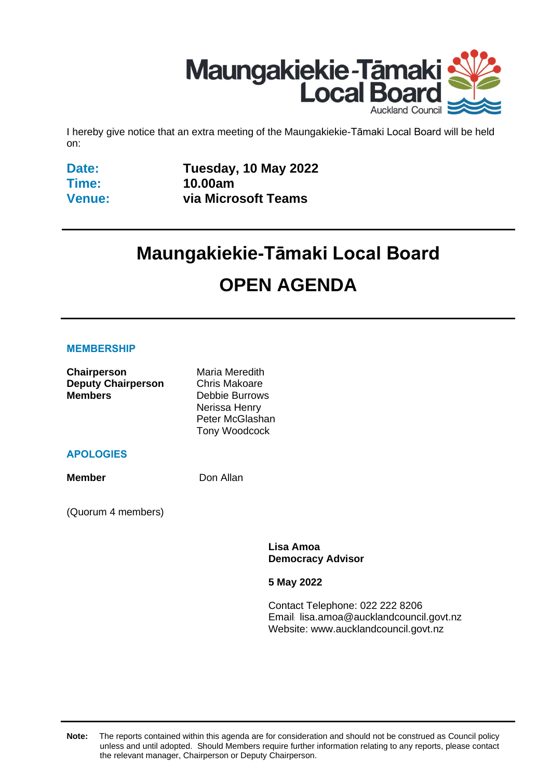

I hereby give notice that an extra meeting of the Maungakiekie-Tāmaki Local Board will be held on:

**Date: Time: Venue:** **Tuesday, 10 May 2022 10.00am via Microsoft Teams**

# **Maungakiekie-Tāmaki Local Board OPEN AGENDA**

#### **MEMBERSHIP**

| Chairperson               | Maria Meredith       |
|---------------------------|----------------------|
| <b>Deputy Chairperson</b> | <b>Chris Makoare</b> |
| <b>Members</b>            | Debbie Burrows       |
|                           | Nerissa Henry        |
|                           | Peter McGlashan      |
|                           | Tony Woodcock        |

#### **APOLOGIES**

**Member** Don Allan

(Quorum 4 members)

**Lisa Amoa Democracy Advisor**

**5 May 2022**

Contact Telephone: 022 222 8206 Email: lisa.amoa@aucklandcouncil.govt.nz Website: www.aucklandcouncil.govt.nz

**Note:** The reports contained within this agenda are for consideration and should not be construed as Council policy unless and until adopted. Should Members require further information relating to any reports, please contact the relevant manager, Chairperson or Deputy Chairperson.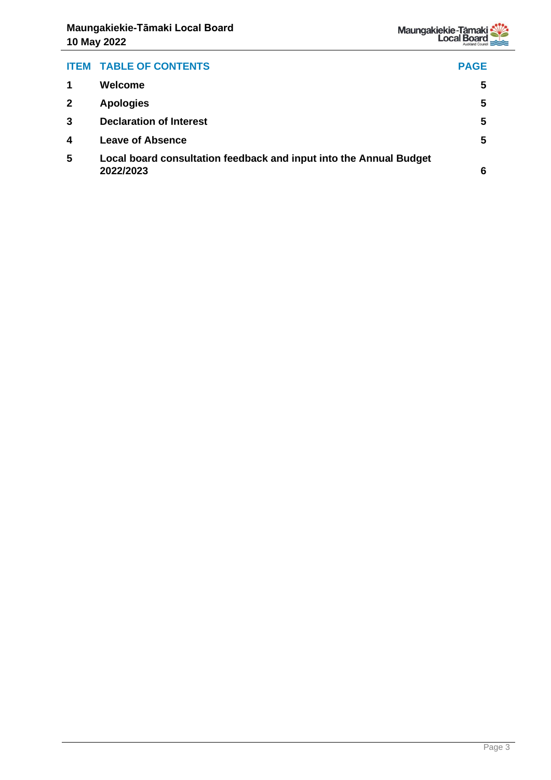

| <b>ITEM TABLE OF CONTENTS</b>                                                   | <b>PAGE</b> |
|---------------------------------------------------------------------------------|-------------|
| Welcome                                                                         | 5           |
| <b>Apologies</b>                                                                | 5           |
| <b>Declaration of Interest</b>                                                  | 5           |
| <b>Leave of Absence</b>                                                         | 5           |
| Local board consultation feedback and input into the Annual Budget<br>2022/2023 | 6           |
|                                                                                 |             |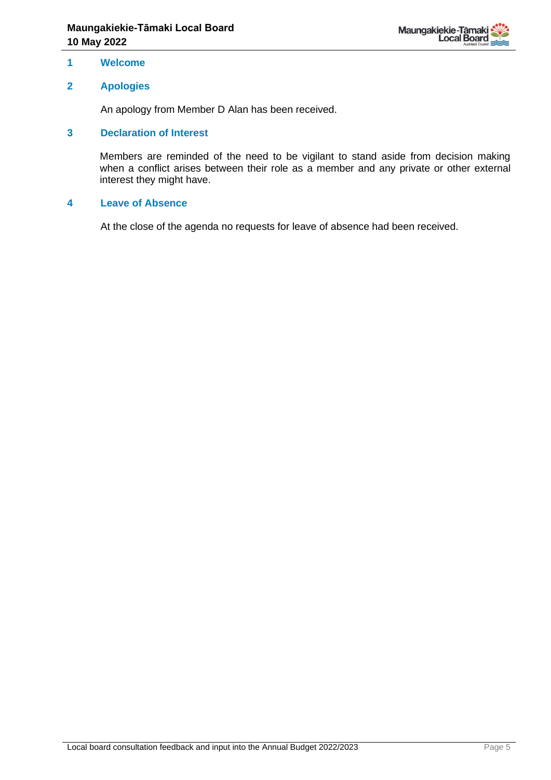

#### <span id="page-4-0"></span>**1 Welcome**

#### <span id="page-4-1"></span>**2 Apologies**

An apology from Member D Alan has been received.

#### <span id="page-4-2"></span>**3 Declaration of Interest**

Members are reminded of the need to be vigilant to stand aside from decision making when a conflict arises between their role as a member and any private or other external interest they might have.

#### **4 Leave of Absence**

At the close of the agenda no requests for leave of absence had been received.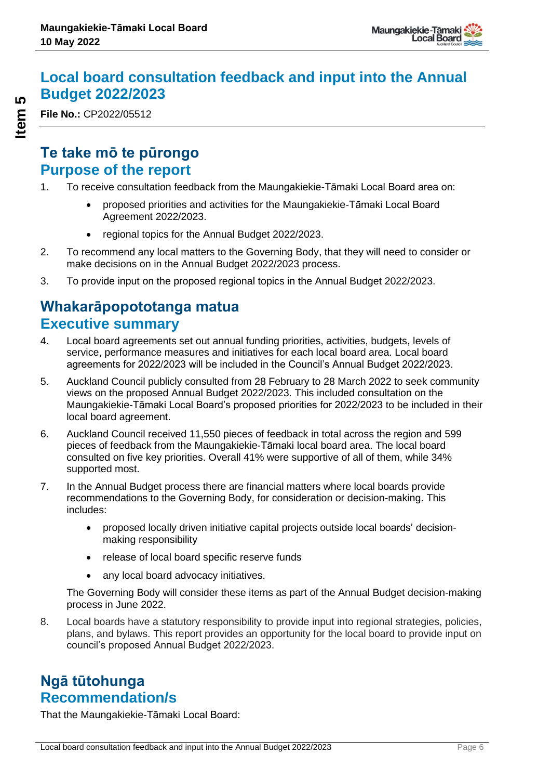# **Local board consultation feedback and input into the Annual Budget 2022/2023**

**File No.:** CP2022/05512

# **Te take mō te pūrongo Purpose of the report**

- 1. To receive consultation feedback from the Maungakiekie-Tāmaki Local Board area on:
	- proposed priorities and activities for the Maungakiekie-Tāmaki Local Board Agreement 2022/2023.
	- regional topics for the Annual Budget 2022/2023.
- 2. To recommend any local matters to the Governing Body, that they will need to consider or make decisions on in the Annual Budget 2022/2023 process.
- 3. To provide input on the proposed regional topics in the Annual Budget 2022/2023.

# **Whakarāpopototanga matua Executive summary**

- 4. Local board agreements set out annual funding priorities, activities, budgets, levels of service, performance measures and initiatives for each local board area. Local board agreements for 2022/2023 will be included in the Council's Annual Budget 2022/2023.
- 5. Auckland Council publicly consulted from 28 February to 28 March 2022 to seek community views on the proposed Annual Budget 2022/2023. This included consultation on the Maungakiekie-Tāmaki Local Board's proposed priorities for 2022/2023 to be included in their local board agreement.
- 6. Auckland Council received 11,550 pieces of feedback in total across the region and 599 pieces of feedback from the Maungakiekie-Tāmaki local board area. The local board consulted on five key priorities. Overall 41% were supportive of all of them, while 34% supported most.
- 7. In the Annual Budget process there are financial matters where local boards provide recommendations to the Governing Body, for consideration or decision-making. This includes:
	- proposed locally driven initiative capital projects outside local boards' decisionmaking responsibility
	- release of local board specific reserve funds
	- any local board advocacy initiatives.

The Governing Body will consider these items as part of the Annual Budget decision-making process in June 2022.

8. Local boards have a statutory responsibility to provide input into regional strategies, policies, plans, and bylaws. This report provides an opportunity for the local board to provide input on council's proposed Annual Budget 2022/2023.

# **Ngā tūtohunga Recommendation/s**

That the Maungakiekie-Tāmaki Local Board: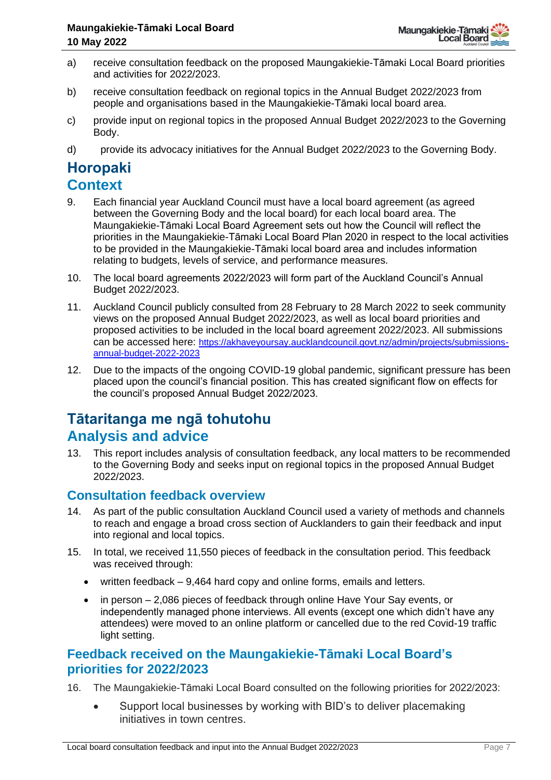- a) receive consultation feedback on the proposed Maungakiekie-Tāmaki Local Board priorities and activities for 2022/2023.
- b) receive consultation feedback on regional topics in the Annual Budget 2022/2023 from people and organisations based in the Maungakiekie-Tāmaki local board area.
- c) provide input on regional topics in the proposed Annual Budget 2022/2023 to the Governing Body.
- d) provide its advocacy initiatives for the Annual Budget 2022/2023 to the Governing Body.

# **Horopaki**

# **Context**

- 9. Each financial year Auckland Council must have a local board agreement (as agreed between the Governing Body and the local board) for each local board area. The Maungakiekie-Tāmaki Local Board Agreement sets out how the Council will reflect the priorities in the Maungakiekie-Tāmaki Local Board Plan 2020 in respect to the local activities to be provided in the Maungakiekie-Tāmaki local board area and includes information relating to budgets, levels of service, and performance measures.
- 10. The local board agreements 2022/2023 will form part of the Auckland Council's Annual Budget 2022/2023.
- 11. Auckland Council publicly consulted from 28 February to 28 March 2022 to seek community views on the proposed Annual Budget 2022/2023, as well as local board priorities and proposed activities to be included in the local board agreement 2022/2023. All submissions can be accessed here: [https://akhaveyoursay.aucklandcouncil.govt.nz/admin/projects/submissions](https://akhaveyoursay.aucklandcouncil.govt.nz/admin/projects/submissions-annual-budget-2022-2023)[annual-budget-2022-2023](https://akhaveyoursay.aucklandcouncil.govt.nz/admin/projects/submissions-annual-budget-2022-2023)
- 12. Due to the impacts of the ongoing COVID-19 global pandemic, significant pressure has been placed upon the council's financial position. This has created significant flow on effects for the council's proposed Annual Budget 2022/2023.

# **Tātaritanga me ngā tohutohu Analysis and advice**

13. This report includes analysis of consultation feedback, any local matters to be recommended to the Governing Body and seeks input on regional topics in the proposed Annual Budget 2022/2023.

# **Consultation feedback overview**

- 14. As part of the public consultation Auckland Council used a variety of methods and channels to reach and engage a broad cross section of Aucklanders to gain their feedback and input into regional and local topics.
- 15. In total, we received 11,550 pieces of feedback in the consultation period. This feedback was received through:
	- written feedback 9,464 hard copy and online forms, emails and letters.
	- in person 2,086 pieces of feedback through online Have Your Say events, or independently managed phone interviews. All events (except one which didn't have any attendees) were moved to an online platform or cancelled due to the red Covid-19 traffic light setting.

### **Feedback received on the Maungakiekie-Tāmaki Local Board's priorities for 2022/2023**

- 16. The Maungakiekie-Tāmaki Local Board consulted on the following priorities for 2022/2023:
	- Support local businesses by working with BID's to deliver placemaking initiatives in town centres.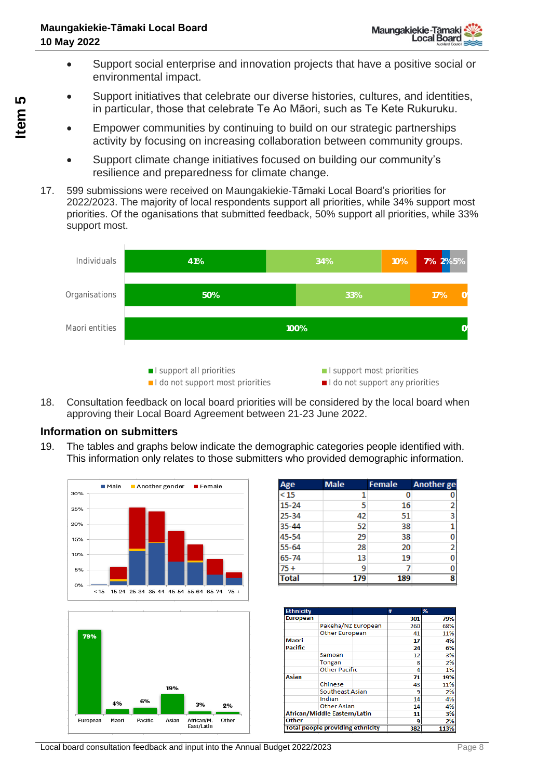- Support social enterprise and innovation projects that have a positive social or environmental impact.
- Support initiatives that celebrate our diverse histories, cultures, and identities, in particular, those that celebrate Te Ao Māori, such as Te Kete Rukuruku.
- Empower communities by continuing to build on our strategic partnerships activity by focusing on increasing collaboration between community groups.
- Support climate change initiatives focused on building our community's resilience and preparedness for climate change.
- 17. 599 submissions were received on Maungakiekie-Tāmaki Local Board's priorities for 2022/2023. The majority of local respondents support all priorities, while 34% support most priorities. Of the oganisations that submitted feedback, 50% support all priorities, while 33% support most.



18. Consultation feedback on local board priorities will be considered by the local board when approving their Local Board Agreement between 21-23 June 2022.

### **Information on submitters**

19. The tables and graphs below indicate the demographic categories people identified with. This information only relates to those submitters who provided demographic information.





| Age          | <b>Male</b> | <b>Female</b> | <b>Another ge</b> |
|--------------|-------------|---------------|-------------------|
| $\leq$ 15    | 1           | 0             | 0                 |
| $15 - 24$    | 5           | 16            | 2                 |
| $25 - 34$    | 42          | 51            | 3                 |
| 35-44        | 52          | 38            |                   |
| 45-54        | 29          | 38            | 0                 |
| $55 - 64$    | 28          | 20            | 2                 |
| $65 - 74$    | 13          | 19            | 0                 |
| $75+$        | 9           |               | 0                 |
| <b>Total</b> | 179         | 189           | 8                 |

| <b>Ethnicity</b> |                                         | #   | %    |
|------------------|-----------------------------------------|-----|------|
| <b>European</b>  |                                         | 301 | 79%  |
|                  | Pakeha/NZ European                      | 260 | 68%  |
|                  | <b>Other European</b>                   | 41  | 11%  |
| <b>Maori</b>     |                                         | 17  | 4%   |
| <b>Pacific</b>   |                                         | 24  | 6%   |
|                  | Samoan                                  | 12  | 3%   |
|                  | Tongan                                  | 8   | 2%   |
|                  | <b>Other Pacific</b>                    | Δ   | 1%   |
| Asian            |                                         | 71  | 19%  |
|                  | Chinese                                 | 43  | 11%  |
|                  | Southeast Asian                         | ٩   | 2%   |
|                  | Indian                                  | 14  | 4%   |
|                  | Other Asian                             | 14  | 4%   |
|                  | <b>African/Middle Eastern/Latin</b>     | 11  | 3%   |
| Other            |                                         | g   | 2%   |
|                  | <b>Total people providing ethnicity</b> | 382 | 113% |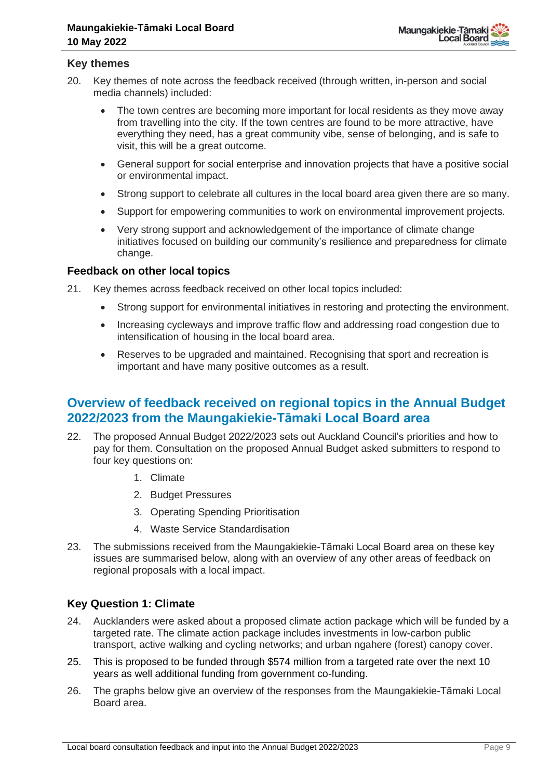

#### **Key themes**

- 20. Key themes of note across the feedback received (through written, in-person and social media channels) included:
	- The town centres are becoming more important for local residents as they move away from travelling into the city. If the town centres are found to be more attractive, have everything they need, has a great community vibe, sense of belonging, and is safe to visit, this will be a great outcome.
	- General support for social enterprise and innovation projects that have a positive social or environmental impact.
	- Strong support to celebrate all cultures in the local board area given there are so many.
	- Support for empowering communities to work on environmental improvement projects.
	- Very strong support and acknowledgement of the importance of climate change initiatives focused on building our community's resilience and preparedness for climate change.

#### **Feedback on other local topics**

21. Key themes across feedback received on other local topics included:

- Strong support for environmental initiatives in restoring and protecting the environment.
- Increasing cycleways and improve traffic flow and addressing road congestion due to intensification of housing in the local board area.
- Reserves to be upgraded and maintained. Recognising that sport and recreation is important and have many positive outcomes as a result.

### **Overview of feedback received on regional topics in the Annual Budget 2022/2023 from the Maungakiekie-Tāmaki Local Board area**

- 22. The proposed Annual Budget 2022/2023 sets out Auckland Council's priorities and how to pay for them. Consultation on the proposed Annual Budget asked submitters to respond to four key questions on:
	- 1. Climate
	- 2. Budget Pressures
	- 3. Operating Spending Prioritisation
	- 4. Waste Service Standardisation
- 23. The submissions received from the Maungakiekie-Tāmaki Local Board area on these key issues are summarised below, along with an overview of any other areas of feedback on regional proposals with a local impact.

#### **Key Question 1: Climate**

- 24. Aucklanders were asked about a proposed climate action package which will be funded by a targeted rate. The climate action package includes investments in low-carbon public transport, active walking and cycling networks; and urban ngahere (forest) canopy cover.
- 25. This is proposed to be funded through \$574 million from a targeted rate over the next 10 years as well additional funding from government co-funding.
- 26. The graphs below give an overview of the responses from the Maungakiekie-Tāmaki Local Board area.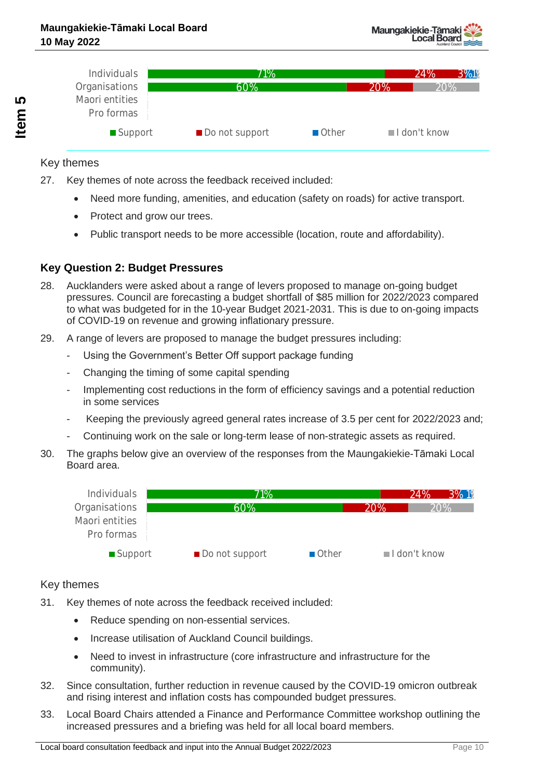

#### Key themes

- 27. Key themes of note across the feedback received included:
	- Need more funding, amenities, and education (safety on roads) for active transport.
	- Protect and grow our trees.
	- Public transport needs to be more accessible (location, route and affordability).

### **Key Question 2: Budget Pressures**

- 28. Aucklanders were asked about a range of levers proposed to manage on-going budget pressures. Council are forecasting a budget shortfall of \$85 million for 2022/2023 compared to what was budgeted for in the 10-year Budget 2021-2031. This is due to on-going impacts of COVID-19 on revenue and growing inflationary pressure.
- 29. A range of levers are proposed to manage the budget pressures including:
	- Using the Government's Better Off support package funding
	- Changing the timing of some capital spending
	- Implementing cost reductions in the form of efficiency savings and a potential reduction in some services
	- Keeping the previously agreed general rates increase of 3.5 per cent for 2022/2023 and;
	- Continuing work on the sale or long-term lease of non-strategic assets as required.
- 30. The graphs below give an overview of the responses from the Maungakiekie-Tāmaki Local Board area.



#### Key themes

- 31. Key themes of note across the feedback received included:
	- Reduce spending on non-essential services.
	- Increase utilisation of Auckland Council buildings.
	- Need to invest in infrastructure (core infrastructure and infrastructure for the community).
- 32. Since consultation, further reduction in revenue caused by the COVID-19 omicron outbreak and rising interest and inflation costs has compounded budget pressures.
- 33. Local Board Chairs attended a Finance and Performance Committee workshop outlining the increased pressures and a briefing was held for all local board members.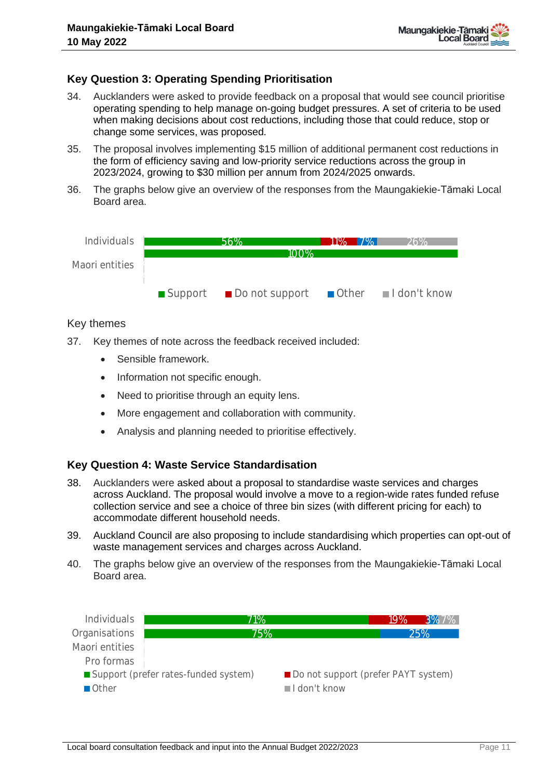#### **Key Question 3: Operating Spending Prioritisation**

- 34. Aucklanders were asked to provide feedback on a proposal that would see council prioritise operating spending to help manage on-going budget pressures. A set of criteria to be used when making decisions about cost reductions, including those that could reduce, stop or change some services, was proposed.
- 35. The proposal involves implementing \$15 million of additional permanent cost reductions in the form of efficiency saving and low-priority service reductions across the group in 2023/2024, growing to \$30 million per annum from 2024/2025 onwards.
- 36. The graphs below give an overview of the responses from the Maungakiekie-Tāmaki Local Board area.



#### Key themes

- 37. Key themes of note across the feedback received included:
	- Sensible framework.
	- Information not specific enough.
	- Need to prioritise through an equity lens.
	- More engagement and collaboration with community.
	- Analysis and planning needed to prioritise effectively.

#### **Key Question 4: Waste Service Standardisation**

- 38. Aucklanders were asked about a proposal to standardise waste services and charges across Auckland. The proposal would involve a move to a region-wide rates funded refuse collection service and see a choice of three bin sizes (with different pricing for each) to accommodate different household needs.
- 39. Auckland Council are also proposing to include standardising which properties can opt-out of waste management services and charges across Auckland.
- 40. The graphs below give an overview of the responses from the Maungakiekie-Tāmaki Local Board area.

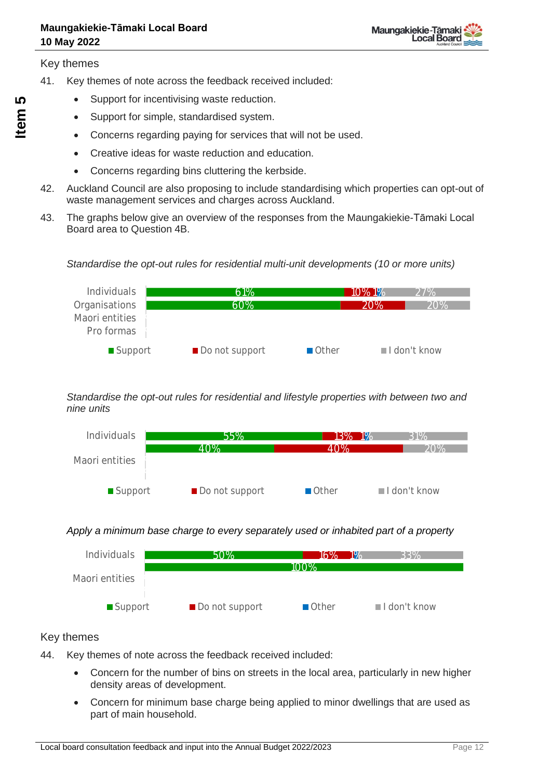Key themes

- 41. Key themes of note across the feedback received included:
	- Support for incentivising waste reduction.
	- Support for simple, standardised system.
	- Concerns regarding paying for services that will not be used.
	- Creative ideas for waste reduction and education.
	- Concerns regarding bins cluttering the kerbside.
- 42. Auckland Council are also proposing to include standardising which properties can opt-out of waste management services and charges across Auckland.
- 43. The graphs below give an overview of the responses from the Maungakiekie-Tāmaki Local Board area to Question 4B.





#### *Standardise the opt-out rules for residential and lifestyle properties with between two and nine units*



#### *Apply a minimum base charge to every separately used or inhabited part of a property*



#### Key themes

- 44. Key themes of note across the feedback received included:
	- Concern for the number of bins on streets in the local area, particularly in new higher density areas of development.
	- Concern for minimum base charge being applied to minor dwellings that are used as part of main household.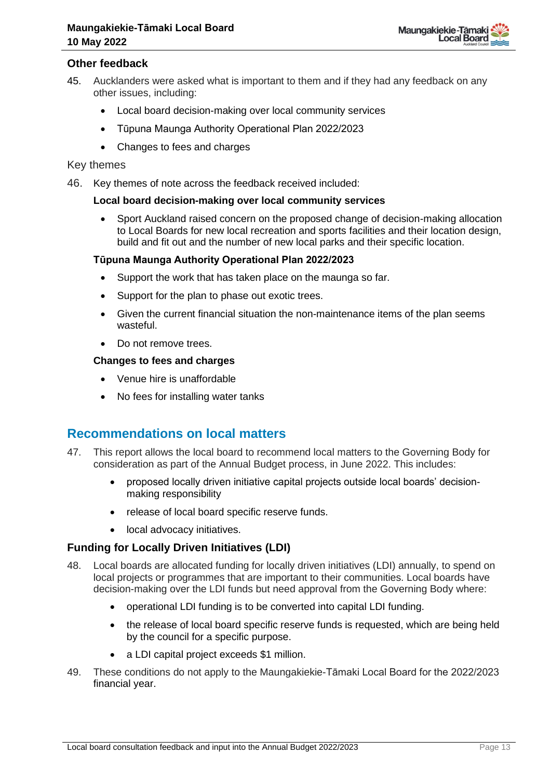

#### **Other feedback**

- 45. Aucklanders were asked what is important to them and if they had any feedback on any other issues, including:
	- Local board decision-making over local community services
	- Tūpuna Maunga Authority Operational Plan 2022/2023
	- Changes to fees and charges

#### Key themes

46. Key themes of note across the feedback received included:

#### **Local board decision-making over local community services**

• Sport Auckland raised concern on the proposed change of decision-making allocation to Local Boards for new local recreation and sports facilities and their location design, build and fit out and the number of new local parks and their specific location.

#### **Tūpuna Maunga Authority Operational Plan 2022/2023**

- Support the work that has taken place on the maunga so far.
- Support for the plan to phase out exotic trees.
- Given the current financial situation the non-maintenance items of the plan seems wasteful.
- Do not remove trees.

#### **Changes to fees and charges**

- Venue hire is unaffordable
- No fees for installing water tanks

### **Recommendations on local matters**

- 47. This report allows the local board to recommend local matters to the Governing Body for consideration as part of the Annual Budget process, in June 2022. This includes:
	- proposed locally driven initiative capital projects outside local boards' decisionmaking responsibility
	- release of local board specific reserve funds.
	- local advocacy initiatives.

#### **Funding for Locally Driven Initiatives (LDI)**

- 48. Local boards are allocated funding for locally driven initiatives (LDI) annually, to spend on local projects or programmes that are important to their communities. Local boards have decision-making over the LDI funds but need approval from the Governing Body where:
	- operational LDI funding is to be converted into capital LDI funding.
	- the release of local board specific reserve funds is requested, which are being held by the council for a specific purpose.
	- a LDI capital project exceeds \$1 million.
- 49. These conditions do not apply to the Maungakiekie-Tāmaki Local Board for the 2022/2023 financial year.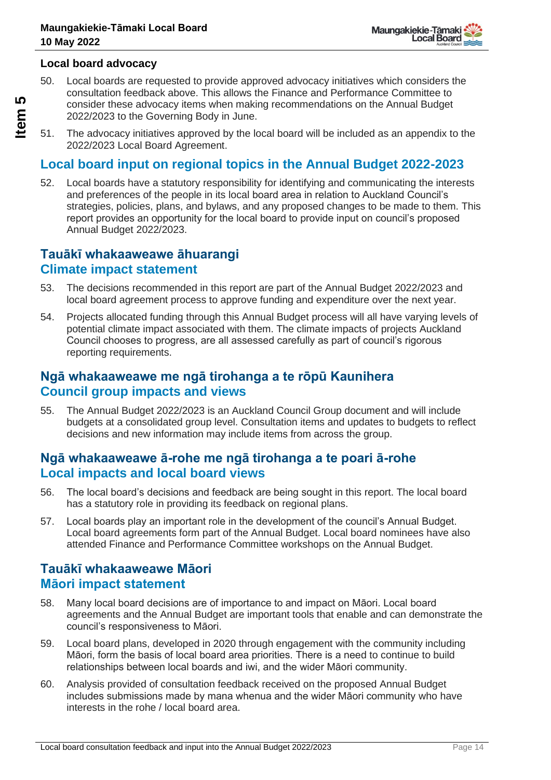

#### **Local board advocacy**

50. Local boards are requested to provide approved advocacy initiatives which considers the consultation feedback above. This allows the Finance and Performance Committee to consider these advocacy items when making recommendations on the Annual Budget 2022/2023 to the Governing Body in June.

51. The advocacy initiatives approved by the local board will be included as an appendix to the 2022/2023 Local Board Agreement.

# **Local board input on regional topics in the Annual Budget 2022-2023**

52. Local boards have a statutory responsibility for identifying and communicating the interests and preferences of the people in its local board area in relation to Auckland Council's strategies, policies, plans, and bylaws, and any proposed changes to be made to them. This report provides an opportunity for the local board to provide input on council's proposed Annual Budget 2022/2023.

### **Tauākī whakaaweawe āhuarangi Climate impact statement**

- 53. The decisions recommended in this report are part of the Annual Budget 2022/2023 and local board agreement process to approve funding and expenditure over the next year.
- 54. Projects allocated funding through this Annual Budget process will all have varying levels of potential climate impact associated with them. The climate impacts of projects Auckland Council chooses to progress, are all assessed carefully as part of council's rigorous reporting requirements.

### **Ngā whakaaweawe me ngā tirohanga a te rōpū Kaunihera Council group impacts and views**

55. The Annual Budget 2022/2023 is an Auckland Council Group document and will include budgets at a consolidated group level. Consultation items and updates to budgets to reflect decisions and new information may include items from across the group.

## **Ngā whakaaweawe ā-rohe me ngā tirohanga a te poari ā-rohe Local impacts and local board views**

- 56. The local board's decisions and feedback are being sought in this report. The local board has a statutory role in providing its feedback on regional plans.
- 57. Local boards play an important role in the development of the council's Annual Budget. Local board agreements form part of the Annual Budget. Local board nominees have also attended Finance and Performance Committee workshops on the Annual Budget.

## **Tauākī whakaaweawe Māori Māori impact statement**

- 58. Many local board decisions are of importance to and impact on Māori. Local board agreements and the Annual Budget are important tools that enable and can demonstrate the council's responsiveness to Māori.
- 59. Local board plans, developed in 2020 through engagement with the community including Māori, form the basis of local board area priorities. There is a need to continue to build relationships between local boards and iwi, and the wider Māori community.
- 60. Analysis provided of consultation feedback received on the proposed Annual Budget includes submissions made by mana whenua and the wider Māori community who have interests in the rohe / local board area.